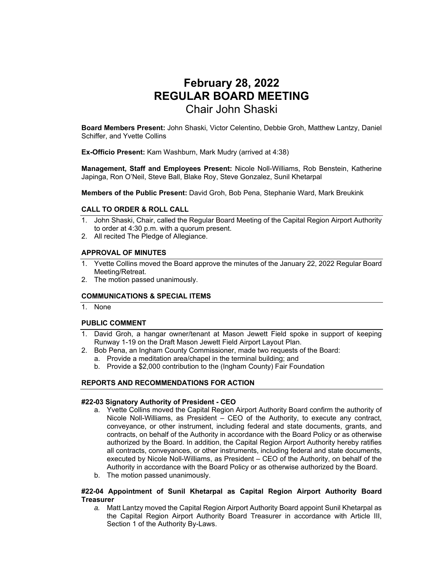# **February 28, 2022 REGULAR BOARD MEETING**  Chair John Shaski

**Board Members Present:** John Shaski, Victor Celentino, Debbie Groh, Matthew Lantzy, Daniel Schiffer, and Yvette Collins

**Ex-Officio Present:** Kam Washburn, Mark Mudry (arrived at 4:38)

**Management, Staff and Employees Present:** Nicole Noll-Williams, Rob Benstein, Katherine Japinga, Ron O'Neil, Steve Ball, Blake Roy, Steve Gonzalez, Sunil Khetarpal

**Members of the Public Present:** David Groh, Bob Pena, Stephanie Ward, Mark Breukink

#### **CALL TO ORDER & ROLL CALL**

- 1. John Shaski, Chair, called the Regular Board Meeting of the Capital Region Airport Authority to order at 4:30 p.m. with a quorum present.
- 2. All recited The Pledge of Allegiance.

#### **APPROVAL OF MINUTES**

- 1. Yvette Collins moved the Board approve the minutes of the January 22, 2022 Regular Board Meeting/Retreat.
- 2. The motion passed unanimously.

#### **COMMUNICATIONS & SPECIAL ITEMS**

1. None

## **PUBLIC COMMENT**

- 1. David Groh, a hangar owner/tenant at Mason Jewett Field spoke in support of keeping Runway 1-19 on the Draft Mason Jewett Field Airport Layout Plan.
- 2. Bob Pena, an Ingham County Commissioner, made two requests of the Board: a. Provide a meditation area/chapel in the terminal building; and
	- b. Provide a \$2,000 contribution to the (Ingham County) Fair Foundation

## **REPORTS AND RECOMMENDATIONS FOR ACTION**

#### **#22-03 Signatory Authority of President - CEO**

- a. Yvette Collins moved the Capital Region Airport Authority Board confirm the authority of Nicole Noll-Williams, as President – CEO of the Authority, to execute any contract, conveyance, or other instrument, including federal and state documents, grants, and contracts, on behalf of the Authority in accordance with the Board Policy or as otherwise authorized by the Board. In addition, the Capital Region Airport Authority hereby ratifies all contracts, conveyances, or other instruments, including federal and state documents, executed by Nicole Noll-Williams, as President – CEO of the Authority, on behalf of the Authority in accordance with the Board Policy or as otherwise authorized by the Board.
- b. The motion passed unanimously.

## **#22-04 Appointment of Sunil Khetarpal as Capital Region Airport Authority Board Treasurer**

*a.* Matt Lantzy moved the Capital Region Airport Authority Board appoint Sunil Khetarpal as the Capital Region Airport Authority Board Treasurer in accordance with Article III, Section 1 of the Authority By-Laws.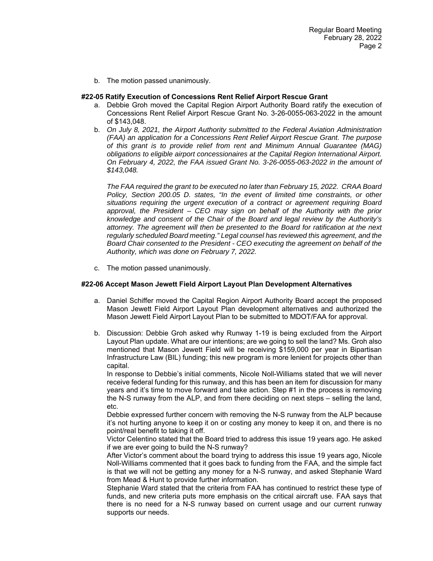b. The motion passed unanimously.

#### **#22-05 Ratify Execution of Concessions Rent Relief Airport Rescue Grant**

- a. Debbie Groh moved the Capital Region Airport Authority Board ratify the execution of Concessions Rent Relief Airport Rescue Grant No. 3-26-0055-063-2022 in the amount of \$143,048.
- b. *On July 8, 2021, the Airport Authority submitted to the Federal Aviation Administration (FAA) an application for a Concessions Rent Relief Airport Rescue Grant. The purpose of this grant is to provide relief from rent and Minimum Annual Guarantee (MAG) obligations to eligible airport concessionaires at the Capital Region International Airport. On February 4, 2022, the FAA issued Grant No. 3-26-0055-063-2022 in the amount of \$143,048.*

*The FAA required the grant to be executed no later than February 15, 2022. CRAA Board Policy, Section 200.05 D. states, "In the event of limited time constraints, or other situations requiring the urgent execution of a contract or agreement requiring Board approval, the President – CEO may sign on behalf of the Authority with the prior knowledge and consent of the Chair of the Board and legal review by the Authority's attorney. The agreement will then be presented to the Board for ratification at the next regularly scheduled Board meeting." Legal counsel has reviewed this agreement, and the Board Chair consented to the President - CEO executing the agreement on behalf of the Authority, which was done on February 7, 2022.*

c. The motion passed unanimously.

#### **#22-06 Accept Mason Jewett Field Airport Layout Plan Development Alternatives**

- a. Daniel Schiffer moved the Capital Region Airport Authority Board accept the proposed Mason Jewett Field Airport Layout Plan development alternatives and authorized the Mason Jewett Field Airport Layout Plan to be submitted to MDOT/FAA for approval.
- b. Discussion: Debbie Groh asked why Runway 1-19 is being excluded from the Airport Layout Plan update. What are our intentions; are we going to sell the land? Ms. Groh also mentioned that Mason Jewett Field will be receiving \$159,000 per year in Bipartisan Infrastructure Law (BIL) funding; this new program is more lenient for projects other than capital.

In response to Debbie's initial comments, Nicole Noll-Williams stated that we will never receive federal funding for this runway, and this has been an item for discussion for many years and it's time to move forward and take action. Step #1 in the process is removing the N-S runway from the ALP, and from there deciding on next steps – selling the land, etc.

Debbie expressed further concern with removing the N-S runway from the ALP because it's not hurting anyone to keep it on or costing any money to keep it on, and there is no point/real benefit to taking it off.

Victor Celentino stated that the Board tried to address this issue 19 years ago. He asked if we are ever going to build the N-S runway?

After Victor's comment about the board trying to address this issue 19 years ago, Nicole Noll-Williams commented that it goes back to funding from the FAA, and the simple fact is that we will not be getting any money for a N-S runway, and asked Stephanie Ward from Mead & Hunt to provide further information.

Stephanie Ward stated that the criteria from FAA has continued to restrict these type of funds, and new criteria puts more emphasis on the critical aircraft use. FAA says that there is no need for a N-S runway based on current usage and our current runway supports our needs.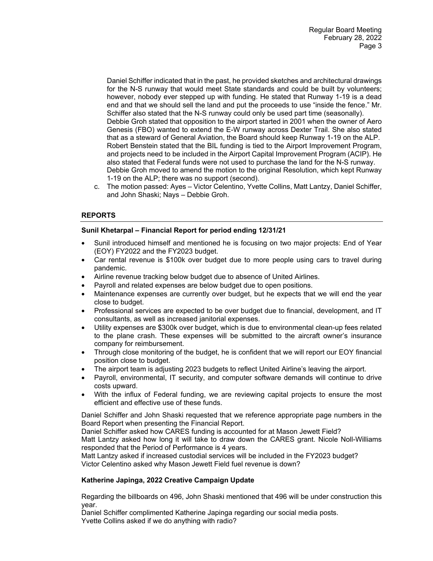Daniel Schiffer indicated that in the past, he provided sketches and architectural drawings for the N-S runway that would meet State standards and could be built by volunteers; however, nobody ever stepped up with funding. He stated that Runway 1-19 is a dead end and that we should sell the land and put the proceeds to use "inside the fence." Mr. Schiffer also stated that the N-S runway could only be used part time (seasonally). Debbie Groh stated that opposition to the airport started in 2001 when the owner of Aero Genesis (FBO) wanted to extend the E-W runway across Dexter Trail. She also stated that as a steward of General Aviation, the Board should keep Runway 1-19 on the ALP. Robert Benstein stated that the BIL funding is tied to the Airport Improvement Program, and projects need to be included in the Airport Capital Improvement Program (ACIP). He also stated that Federal funds were not used to purchase the land for the N-S runway. Debbie Groh moved to amend the motion to the original Resolution, which kept Runway 1-19 on the ALP; there was no support (second).

c. The motion passed: Ayes – Victor Celentino, Yvette Collins, Matt Lantzy, Daniel Schiffer, and John Shaski; Nays – Debbie Groh.

# **REPORTS**

## **Sunil Khetarpal – Financial Report for period ending 12/31/21**

- Sunil introduced himself and mentioned he is focusing on two major projects: End of Year (EOY) FY2022 and the FY2023 budget.
- Car rental revenue is \$100k over budget due to more people using cars to travel during pandemic.
- Airline revenue tracking below budget due to absence of United Airlines.
- Payroll and related expenses are below budget due to open positions.
- Maintenance expenses are currently over budget, but he expects that we will end the year close to budget.
- Professional services are expected to be over budget due to financial, development, and IT consultants, as well as increased janitorial expenses.
- Utility expenses are \$300k over budget, which is due to environmental clean-up fees related to the plane crash. These expenses will be submitted to the aircraft owner's insurance company for reimbursement.
- Through close monitoring of the budget, he is confident that we will report our EOY financial position close to budget.
- The airport team is adjusting 2023 budgets to reflect United Airline's leaving the airport.
- Payroll, environmental, IT security, and computer software demands will continue to drive costs upward.
- With the influx of Federal funding, we are reviewing capital projects to ensure the most efficient and effective use of these funds.

Daniel Schiffer and John Shaski requested that we reference appropriate page numbers in the Board Report when presenting the Financial Report.

Daniel Schiffer asked how CARES funding is accounted for at Mason Jewett Field?

Matt Lantzy asked how long it will take to draw down the CARES grant. Nicole Noll-Williams responded that the Period of Performance is 4 years.

Matt Lantzy asked if increased custodial services will be included in the FY2023 budget? Victor Celentino asked why Mason Jewett Field fuel revenue is down?

# **Katherine Japinga, 2022 Creative Campaign Update**

Regarding the billboards on 496, John Shaski mentioned that 496 will be under construction this year.

Daniel Schiffer complimented Katherine Japinga regarding our social media posts. Yvette Collins asked if we do anything with radio?